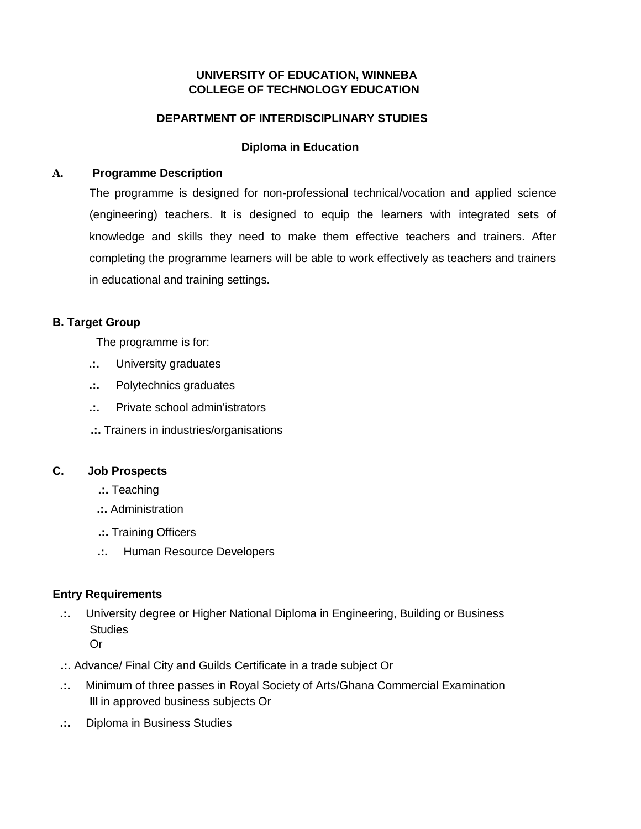## **UNIVERSITY OF EDUCATION, WINNEBA COLLEGE OF TECHNOLOGY EDUCATION**

## **DEPARTMENT OF INTERDISCIPLINARY STUDIES**

## **Diploma in Education**

### **A. Programme Description**

The programme is designed for non-professional technical/vocation and applied science (engineering) teachers. **It** is designed to equip the learners with integrated sets of knowledge and skills they need to make them effective teachers and trainers. After completing the programme learners will be able to work effectively as teachers and trainers in educational and training settings.

## **B. Target Group**

The programme is for:

- **.:.** University graduates
- **.:.** Polytechnics graduates
- **.:.** Private school admin'istrators
- **.:.** Trainers in industries/organisations

#### **C. Job Prospects**

- **.:.** Teaching
- **.:.** Administration
- **.:.** Training Officers
- **.:.** Human Resource Developers

## **Entry Requirements**

- **.:.** University degree or Higher National Diploma in Engineering, Building or Business **Studies** Or
- **.:.** Advance/ Final City and Guilds Certificate in a trade subject Or
- **.:.** Minimum of three passes in Royal Society of Arts/Ghana Commercial Examination **III** in approved business subjects Or
- **.:.** Diploma in Business Studies